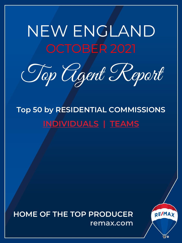# <span id="page-0-0"></span>NEW ENGLAND OCTOBER 2021

Top Agent Report

**Top 50 by RESIDENTIAL COMMISSIONS INDIVIDUALS | TEAMS**

**HOME OF THE TOP PRODUCER remax.com**

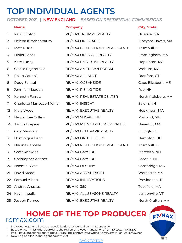## **TOP INDIVIDUAL AGENTS**

**OCTOBER 2021 | NEW ENGLAND |** *BASED ON RESIDENTIAL COMMISSIONS*

|    | <b>Name</b>               | <b>Company</b>                  | <b>City, State</b>  |
|----|---------------------------|---------------------------------|---------------------|
| 1  | Paul Dunton               | RE/MAX TRIUMPH REALTY           | Billerica, MA       |
| 2  | Helena Kirschenbaum       | RE/MAX ON ISLAND                | Vineyard Haven, MA  |
| 3  | Matt Nuzie                | RE/MAX RIGHT CHOICE REAL ESTATE | Trumbull, CT        |
| 4  | Didier Lopez              | RE/MAX ONE CALL REALTY          | Framingham, MA      |
| 5  | Kate Lunny                | RE/MAX EXECUTIVE REALTY         | Hopkinton, MA       |
| 6  | Giselle Pajazetovic       | RE/MAX AMERICAN DREAM           | Woburn, MA          |
| 7  | Philip Carloni            | RE/MAX ALLIANCE                 | Branford, CT        |
| 8  | Doug Schauf               | RE/MAX OCEANSIDE                | Cape Elizabeth, ME  |
| 9  | Jennifer Madden           | RE/MAX RISING TIDE              | Rye, NH             |
| 10 | Kenneth Farrow            | RE/MAX REAL ESTATE CENTER       | North Attleboro, MA |
| 11 | Charlotte Marrocco-Mohler | RE/MAX INSIGHT                  | Salem, NH           |
| 12 | Mary Wood                 | RE/MAX EXECUTIVE REALTY         | Hopkinton, MA       |
| 13 | Harper Lee Collins        | RE/MAX SHORELINE                | Portland, ME        |
| 14 | Judith Drapeau            | RE/MAX MAIN STREET ASSOCIATES   | Haverhill, MA       |
| 15 | Cary Marcoux              | RE/MAX BELL PARK REALTY         | Killingly, CT       |
| 16 | Dominique Fehr            | RE/MAX ON THE MOVE              | Hampton, NH         |
| 17 | Dianne Camella            | RE/MAX RIGHT CHOICE REAL ESTATE | Trumbull, CT        |
| 18 | Scott Knowles             | RE/MAX BAYSIDE                  | Meredith, NH        |
| 19 | Christopher Adams         | RE/MAX BAYSIDE                  | Laconia, NH         |
| 20 | Noemia Alves              | RE/MAX DESTINY                  | Cambridge, MA       |
| 21 | David Stead               | RE/MAX ADVANTAGE I              | Worcester, MA       |
| 22 | Samuel Albert             | RE/MAX INNOVATIONS              | Providence, RI      |
| 23 | Andrea Anastas            | <b>RE/MAX 360</b>               | Topsfield, MA       |
| 24 | Kevin Ingalls             | RE/MAX ALL SEASONS REALTY       | Lyndonville, VT     |
| 25 | Joseph Romeo              | RE/MAX EXECUTIVE REALTY         | North Grafton, MA   |

### **HOME OF TH[E TOP P](#page-0-0)RODUCER RE/MAX** remax.com

- Individual Agents, all areas of specialization, residential commissions only
- Based on commissions reported to the region on closed transactions from 10.1.2021 10.31.2021
- If you have questions regarding your ranking, contact your Office Administrator or Broker/Owner
- New England Individual agent count= 2099

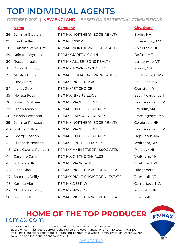## **TOP INDIVIDUAL AGENTS**

**OCTOBER 2021 | NEW ENGLAND |** *BASED ON RESIDENTIAL COMMISSIONS*

|    | <b>Name</b>              | <b>Company</b>                  |
|----|--------------------------|---------------------------------|
| 26 | Jennifer Stewart         | RE/MAX NORTHERN EDGE REALTY     |
| 27 | Lisa Bradley             | <b>RE/MAX VISION</b>            |
| 28 | <b>Francine Rancourt</b> | RE/MAX NORTHERN EDGE REALTY     |
| 29 | Keirsten Wyman           | RE/MAX JARET & COHN             |
| 30 | Russell Ingalls          | RE/MAX ALL SEASONS REALTY       |
| 31 | Deborah Lucey            | RE/MAX TOWN & COUNTRY           |
| 32 | Marilyn Green            | RE/MAX SIGNATURE PROPERTIES     |
| 33 | Cindy Ferry              | RE/MAX RIGHT CHOICE             |
| 34 | Nancy Ziroli             | RE/MAX IST CHOICE               |
| 35 | Melissa Rose             | RE/MAX RIVER'S EDGE             |
| 36 | Jo-Ann Molinaro          | RE/MAX PROFESSIONALS            |
| 37 | Eileen Mason             | RE/MAX EXECUTIVE REALTY         |
| 38 | Marcia Pessanha          | RE/MAX EXECUTIVE REALTY         |
| 39 | Jennifer Rancourt        | RE/MAX NORTHERN EDGE REALTY     |
| 40 | Joshua Cullion           | RE/MAX PROFESSIONALS            |
| 41 | George Joseph            | RE/MAX EXECUTIVE REALTY         |
| 42 | Elizabeth Noonan         | RE/MAX ON THE CHARLES           |
| 43 | Gina Guerra-Pearson      | RE/MAX MAIN STREET ASSOCIATES   |
| 44 | Caroline Caira           | RE/MAX ON THE CHARLES           |
| 45 | JoAnn Carlton            | RE/MAX PROPERTIES               |
| 46 | Luisa Dias               | RE/MAX RIGHT CHOICE REAL ESTATE |
| 47 | Shannon Reilly           | RE/MAX RIGHT CHOICE REAL ESTATE |
| 48 | Karima Alami             | RE/MAX DESTINY                  |
| 49 | Christopher Kelly        | <b>RE/MAX BAYSIDE</b>           |

**City, State** 

Berlin, NH Shrewsbury, MA Colebrook, NH Belfast, ME Lyndonville, VT Keene, NH Marlborough, MA Fall River, MA Cranston, RI East Providence, RI East Greenwich, RI Franklin, MA Framingham, MA Colebrook, NH East Greenwich, RI Hopkinton, MA Waltham, MA Plaistow, NH Waltham, MA Smithfield, RI Bridgeport, CT Trumbull, CT Cambridge, MA Meredith, NH 50 Joe Kapell RE/MAX RIGHT CHOICE REAL ESTATE Trumbull, CT

### **HOME OF TH[E TOP P](#page-0-0)RODUCER** remax.com

- Individual Agents, all areas of specialization, residential commissions only
- Based on commissions reported to the region on closed transactions from 10.1.2021 10.31.2021
- If you have questions regarding your ranking, contact your Office Administrator or Broker/Owner
- New England Individual agent count= 2099

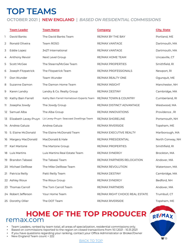## **TOP TEAMS**

#### **OCTOBER 2021 | NEW ENGLAND |** *BASED ON RESIDENTIAL COMMISSIONS*

|     | <b>Team Leader</b>     | <b>Team Name</b>                         | <b>Company</b>                  | <b>City, State</b> |
|-----|------------------------|------------------------------------------|---------------------------------|--------------------|
| ı   | David Banks            | The David Banks Team                     | RE/MAX BY THE BAY               | Portland, ME       |
| 2   | Ronald Oliveira        | Team ROSO                                | RE/MAX VANTAGE                  | Dartmouth, MA      |
| 3   | Eddie Lopez            | 3427 International                       | RE/MAX VANTAGE                  | Dartmouth, MA      |
| 4   | Anthony Revoir         | Next Level Group                         | RE/MAX HOME TEAM                | Uncasville, CT     |
| 5   | Scott McGee            | The Stearns/McGee Team                   | RE/MAX PROPERTIES               | Smithfield, RI     |
| 6   | Joseph Fitzpatrick     | The Fitzpatrick Team                     | RE/MAX PROFESSIONALS            | Newport, RI        |
| 7   | Don Wunder             | Team Wunder                              | RE/MAX REALTY ONE               | Ogunguit, ME       |
| 8   | Suzanne Damon          | The Damon Home Team                      | RE/MAX INSIGHT                  | Manchester, NH     |
| 9   | Karen Landry           | Landry & Co. Realty Group                | RE/MAX DESTINY                  | Cambridge, MA      |
| 10  | Kathy Bain Farrell     | Kathy Bain Farrell Hometown Experts Team | RE/MAX TOWN & COUNTRY           | Cumberland, RI     |
| 11. | Josepha Jowdy          | The Jowdy Group                          | RE/MAX DISTINCT ADVANTAGE       | Westwood, MA       |
| 12  | Samuel Alba            | The Alba Group                           | RE/MAX INNOVATIONS              | Providence, RI     |
| 13  | Elizabeth Levey-Pruyn  | Liz Levey-Pruyn- Seacoast Dwellings Team | RE/MAX SHORELINE                | Portsmouth, NH     |
|     | 14 Andrea Galuza       | Andrea Galuza                            | RE/MAX RIVERSIDE                | Topsham, ME        |
| 15  | S. Elaine McDonald     | The Elaine McDonald Team                 | RE/MAX EXECUTIVE REALTY         | Marlborough, MA    |
|     | 16 Margery MacDonald   | MacDonald & Hale                         | RE/MAX PRESIDENTIAL             | North Conway, NH   |
| 17  | Karl Martone           | The Martone Group                        | RE/MAX PROPERTIES               | Smithfield, RI     |
| 18  | Luis Martins           | Luis Martins Real Estate Team            | RE/MAX SYNERGY                  | Brockton, MA       |
| 19  | <b>Brandon Tabassi</b> | The Tabassi Team                         | RE/MAX PARTNERS RELOCATION      | Andover, MA        |
|     | 20 Michael DelRose     | The Mike DelRose Team                    | RE/MAX REVOLUTION               | Watertown, MA      |
| 21  | Patricia Reilly        | Patti Reilly Team                        | RE/MAX DESTINY                  | Cambridge, MA      |
|     | 22 Ashley Rioux        | The Rioux Group                          | RE/MAX SYNERGY                  | Bedford, NH        |
| 23  | <b>Thomas Carroll</b>  | The Tom Carroll Team                     | <b>RE/MAX PARTNERS</b>          | Andover, MA        |
|     | 24 Robert Jefferson    | Your Home Team                           | RE/MAX RIGHT CHOICE REAL ESTATE | Trumbull, CT       |
|     | 25 Dorothy Ollier      | The DOT Team                             | RE/MAX RIVERSIDE                | Topsham, ME        |

### **HOME OF TH[E TOP P](#page-0-0)RODUCER RE/MAX** remax.com

• Team Leaders, ranked by team total, all areas of specialization, residential commissions only.

- Based on commissions reported to the region on closed transactions from 10.1.2021 10.31.2021
- If you have questions regarding your ranking, contact your Office Administrator or Broker/Owner
- New England Team count = 222